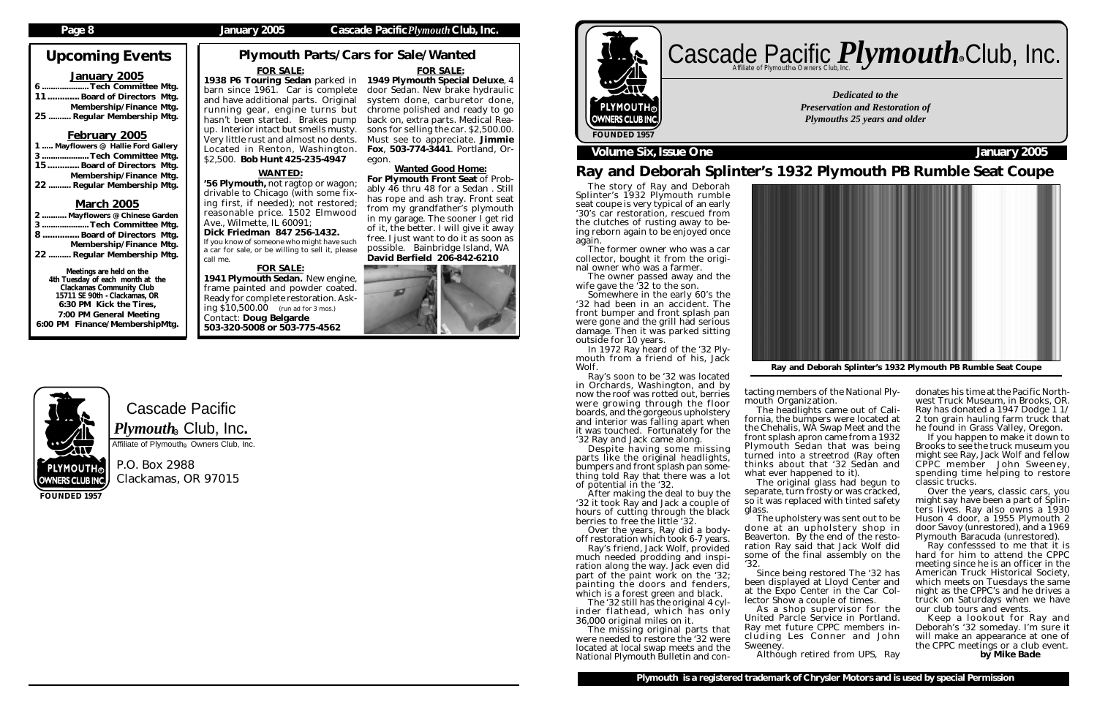Cascade Pacific

P.O. Box 2988 Clackamas, OR 97015

## Upcoming Events

### January 2005

..Tech Committee Mtg. 11............. Board of Directors Mtg. Membership/Finance Mtg. 25 .......... Regular Membership Mtg.

### February 2005

1 ..... Mayflowers @ Hallie Ford Gallery 3 ..................... Tech Committee Mtg. 15............. Board of Directors Mtg. Membership/Finance Mtg. 22 .......... Regular Membership Mtg.

### March 2005

## Cascade Pacific *Plymouth* **Club**, Inc. R

| 2  Mayflowers @ Chinese Garden |  |  |
|--------------------------------|--|--|
| 3Tech Committee Mtg.           |  |  |
| 8 Board of Directors Mtg.      |  |  |
| Membership/Finance Mtg.        |  |  |
| 22  Regular Membership Mtg.    |  |  |

Meetings are held on the 4th Tuesday of each month at the Clackamas Community Club 15711 SE 90th - Clackamas, OR 6:30 PM Kick the Tires, 7:00 PM General Meeting 6:00 PM Finance/MembershipMtg.

**FOUNDED 1957**

 $\mathsf{PLYMOUTH}_{\mathcal{C}}$ **OWNERS CLUB INC.** 

#### **Page 8 January 2005 Cascade Pacific***Plymouth***Club, Inc.**

*Dedicated to the Preservation and Restoration of Plymouths 25 years and older*



**Plymouth is a registered trademark of Chrysler Motors and is used by special Permission**

Ray and Deborah Splinter's 1932 Plymouth PB Rumble Seat Coupe

1938 P6 Touring Sedan parked in 1949 Plymouth Special Deluxe, 4 barn since 1961. Car is complete door Sedan. New brake hydraulic and have additional parts. Original system done, carburetor done, running gear, engine turns but chrome polished and ready to go hasn't been started. Brakes pump up. Interior intact but smells musty. Very little rust and almost no dents. Located in Renton, Washington. \$2,500. Bob Hunt 425-235-4947

### WANTED:

#### Plymouth Parts/Cars for Sale/Wanted FOR SALE: FOR SALE:

'56 Plymouth, not ragtop or wagon; drivable to Chicago (with some fixing first, if needed); not restored; reasonable price. 1502 Elmwood Ave., Wilmette, IL 60091; Dick Friedman 847 256-1432.

If you know of someone who might have such a car for sale, or be willing to sell it, please call me.

### FOR SALE:

much needed prodding and inspiration along the way. Jack even did part of the paint work on the '32; painting the doors and fenders, which is a forest green and black.

1941 Plymouth Sedan. New engine, frame painted and powder coated. Ready for complete restoration. Asking \$10,500.00 (run ad for 3 mos.) Contact: Doug Belgarde 503-320-5008 or 503-775-4562

back on, extra parts. Medical Reasons for selling the car. \$2,500.00. Must see to appreciate. Jimmie Fox, 503-774-3441. Portland, Or-

egon.

Since being restored The '32 has been displayed at Lloyd Center and at the Expo Center in the Car Collector Show a couple of times.

Wanted Good Home: For Plymouth Front Seat of Probably 46 thru 48 for a Sedan . Still has rope and ash tray. Front seat from my grandfather's plymouth in my garage. The sooner I get rid of it, the better. I will give it away free. I just want to do it as soon as

possible. Bainbridge Island, WA David Berfield 206-842-6210

The story of Ray and Deborah Splinter's 1932 Plymouth rumble seat coupe is very typical of an early '30's car restoration, rescued from the clutches of rusting away to being reborn again to be enjoyed once again.

The former owner who was a car collector, bought it from the original owner who was a farmer.

wife gave the '32 to the son.



Somewhere in the early 60's the '32 had been in an accident. The front bumper and front splash pan were gone and the grill had serious damage. Then it was parked sitting outside for 10 years.

In 1972 Ray heard of the '32 Plymouth from a friend of his, Jack Wolf.

Ray's soon to be '32 was located in Orchards, Washington, and by now the roof was rotted out, berries were growing through the floor boards, and the gorgeous upholstery and interior was falling apart when it was touched. Fortunately for the '32 Ray and Jack came along.

Despite having some missing parts like the original headlights, bumpers and front splash pan something told Ray that there was a lot of potential in the '32.

After making the deal to buy the '32 it took Ray and Jack a couple of hours of cutting through the black berries to free the little '32.

Over the years, Ray did a bodyoff restoration which took 6-7 years. Ray's friend, Jack Wolf, provided

The '32 still has the original 4 cylinder flathead, which has only 36,000 original miles on it.

The missing original parts that were needed to restore the '32 were located at local swap meets and the National Plymouth Bulletin and con-



tacting members of the National Plymouth Organization.

The headlights came out of California, the bumpers were located at the Chehalis, WA Swap Meet and the front splash apron came from a 1932 Plymouth Sedan that was being turned into a streetrod (Ray often thinks about that '32 Sedan and

what ever happened to it).

The original glass had begun to separate, turn frosty or was cracked, so it was replaced with tinted safety

glass.

The upholstery was sent out to be done at an upholstery shop in Beaverton. By the end of the restoration Ray said that Jack Wolf did some of the final assembly on the '32.

As a shop supervisor for the United Parcle Service in Portland. Ray met future CPPC members including Les Conner and John

Sweeney.

 $\boldsymbol{P} \boldsymbol{l}$ y $\boldsymbol{m} \boldsymbol{o}$ ut $\boldsymbol{h}_\circledast$  Club, Inc. Affiliate of Plymouth<sup>®</sup> Owners Club, Inc.

Although retired from UPS, Ray

donates his time at the Pacific Northwest Truck Museum, in Brooks, OR. Ray has donated a 1947 Dodge 1 1/ 2 ton grain hauling farm truck that he found in Grass Valley, Oregon.

If you happen to make it down to Brooks to see the truck museum you might see Ray, Jack Wolf and fellow CPPC member John Sweeney, spending time helping to restore classic trucks.

Over the years, classic cars, you might say have been a part of Splinters lives. Ray also owns a 1930 Huson 4 door, a 1955 Plymouth 2 door Savoy (unrestored), and a 1969 Plymouth Baracuda (unrestored).

Ray confesssed to me that it is hard for him to attend the CPPC meeting since he is an officer in the American Truck Historical Society, which meets on Tuesdays the same night as the CPPC's and he drives a truck on Saturdays when we have our club tours and events.

Keep a lookout for Ray and Deborah's '32 someday. I'm sure it will make an appearance at one of the CPPC meetings or a club event. *by Mike Bade*



Ray and Deborah Splinter's 1932 Plymouth PB Rumble Seat Coupe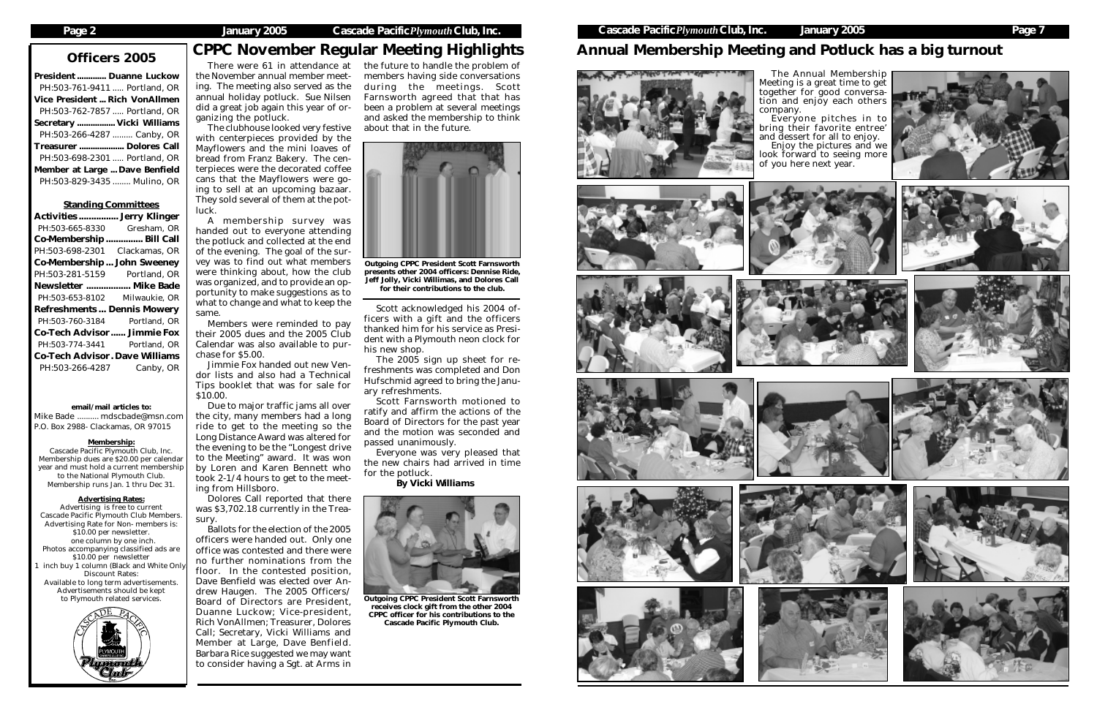President ............. Duanne Luckow PH:503-761-9411 ..... Portland, OR Vice President ... Rich VonAllmen PH:503-762-7857 ..... Portland, OR Secretary ................. Vicki Williams PH:503-266-4287 ......... Canby, OR Treasurer .................... Dolores Call PH:503-698-2301 ..... Portland, OR Member at Large ... Dave Benfield PH:503-829-3435 ........ Mulino, OR

#### Standing Committees

| <b>Activities</b>                     | <b>Jerry Klinger</b> |  |
|---------------------------------------|----------------------|--|
| PH:503-665-8330                       | Gresham, OR          |  |
| Co-Membership.                        | Bill Call            |  |
| PH:503-698-2301                       | Clackamas, OR        |  |
| Co-Membership                         | <b>John Sweeney</b>  |  |
| PH:503-281-5159                       | Portland, OR         |  |
| Newsletter  Mike Bade                 |                      |  |
| PH:503-653-8102                       | Milwaukie, OR        |  |
| <b>Refreshments Dennis Mowery</b>     |                      |  |
| PH:503-760-3184                       | Portland, OR         |  |
| <b>Co-Tech Advisor Jimmie Fox</b>     |                      |  |
| PH:503-774-3441                       | Portland, OR         |  |
| <b>Co-Tech Advisor. Dave Williams</b> |                      |  |
| PH:503-266-4287                       | Canby, OR            |  |

#### email/mail articles to:

Mike Bade .......... mdscbade@msn.com P.O. Box 2988- Clackamas, OR 97015

### Membership:

Cascade Pacific Plymouth Club, Inc. Membership dues are \$20.00 per calendar year and must hold a current membership to the National Plymouth Club. Membership runs Jan. 1 thru Dec 31.

#### Advertising Rates:

Jimmie Fox handed out new Vendor lists and also had a Technical Tips booklet that was for sale for  $$10.00.$ 

Advertising is free to current Cascade Pacific Plymouth Club Members. Advertising Rate for Non- members is: \$10.00 per newsletter. one column by one inch. Photos accompanying classified ads are \$10.00 per newsletter inch buy 1 column (Black and White Only Discount Rates: Available to long term advertisements. Advertisements should be kept to Plymouth related services.



# Officers 2005 CPPC November Regular Meeting Highlights

There were 61 in attendance at the November annual member meeting. The meeting also served as the annual holiday potluck. Sue Nilsen did a great job again this year of organizing the potluck.

The clubhouse looked very festive with centerpieces provided by the Mayflowers and the mini loaves of bread from Franz Bakery. The centerpieces were the decorated coffee cans that the Mayflowers were going to sell at an upcoming bazaar. They sold several of them at the potluck.

A membership survey was handed out to everyone attending the potluck and collected at the end of the evening. The goal of the survey was to find out what members were thinking about, how the club was organized, and to provide an opportunity to make suggestions as to what to change and what to keep the same.

Members were reminded to pay their 2005 dues and the 2005 Club Calendar was also available to purchase for \$5.00.

Due to major traffic jams all over the city, many members had a long ride to get to the meeting so the Long Distance Award was altered for the evening to be the "Longest drive to the Meeting" award. It was won by Loren and Karen Bennett who took 2-1/4 hours to get to the meeting from Hillsboro.

Dolores Call reported that there was \$3,702.18 currently in the Treasury.

Ballots for the election of the 2005 officers were handed out. Only one office was contested and there were no further nominations from the floor. In the contested position, Dave Benfield was elected over Andrew Haugen. The 2005 Officers/ Board of Directors are President, Duanne Luckow; Vice-president, Rich VonAllmen; Treasurer, Dolores Call; Secretary, Vicki Williams and Member at Large, Dave Benfield. Barbara Rice suggested we may want to consider having a Sgt. at Arms in

## Annual Membership Meeting and Potluck has a big turnout

the future to handle the problem of members having side conversations during the meetings. Scott Farnsworth agreed that that has been a problem at several meetings and asked the membership to think about that in the future.



presents other 2004 officers: Dennise Ride, Jeff Jolly, Vicki Willimas, and Dolores Call for their contributions to the club.

Scott acknowledged his 2004 officers with a gift and the officers thanked him for his service as President with a Plymouth neon clock for his new shop.

The 2005 sign up sheet for refreshments was completed and Don Hufschmid agreed to bring the January refreshments.

Scott Farnsworth motioned to ratify and affirm the actions of the Board of Directors for the past year and the motion was seconded and passed unanimously.

Everyone was very pleased that the new chairs had arrived in time for the potluck.

*By Vicki Williams*



Outgoing CPPC President Scott Farnsworth receives clock gift from the other 2004 CPPC officer for his contributions to the Cascade Pacific Plymouth Club.

The Annual Membership Meeting is a great time to get together for good conversation and enjoy each others

company.



















Everyone pitches in to bring their favorite entree' and dessert for all to enjoy. Enjoy the pictures and we look forward to seeing more of you here next year.







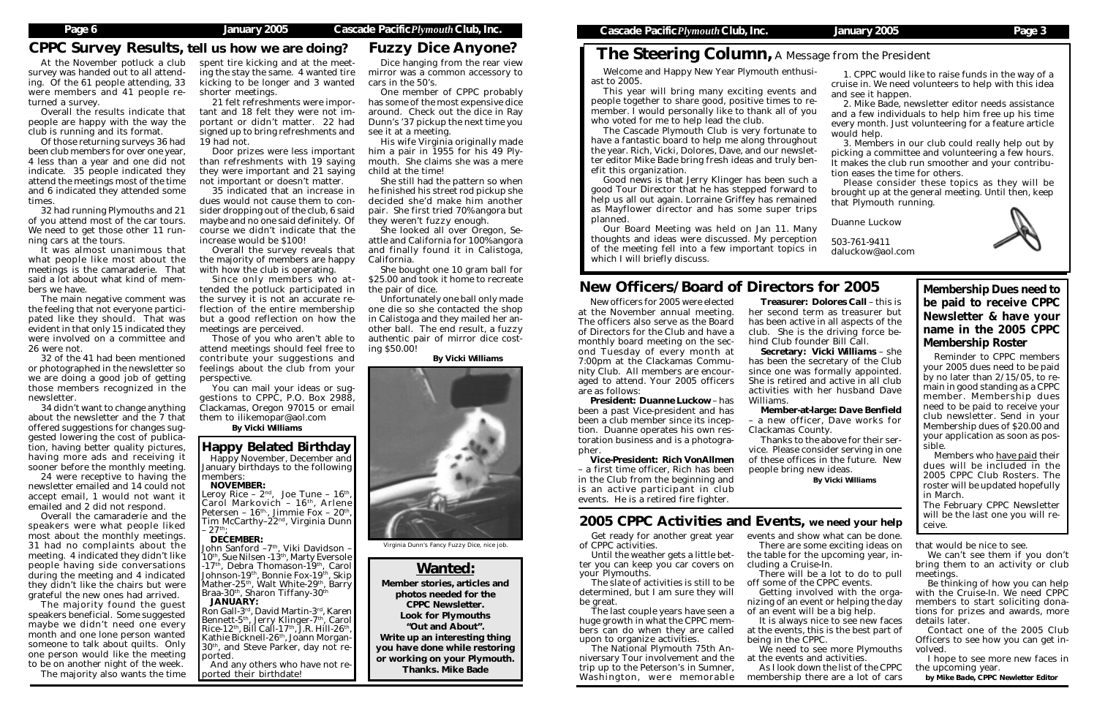## Fuzzy Dice Anyone?

people together to share good, positive times to remember. I would personally like to thank all of you who voted for me to help lead the club. have a fantastic board to help me along throughout

## The Steering Column*,* A Message from the President

At the November potluck a club survey was handed out to all attending. Of the 61 people attending, 33 were members and 41 people returned a survey.

Overall the results indicate that people are happy with the way the club is running and its format.

Of those returning surveys 36 had been club members for over one year, 4 less than a year and one did not indicate. 35 people indicated they attend the meetings most of the time and 6 indicated they attended some times.

32 had running Plymouths and 21 of you attend most of the car tours. We need to get those other 11 running cars at the tours.

It was almost unanimous that what people like most about the meetings is the camaraderie. That said a lot about what kind of members we have.

The main negative comment was the feeling that not everyone participated like they should. That was evident in that only 15 indicated they were involved on a committee and 26 were not.

32 of the 41 had been mentioned or photographed in the newsletter so we are doing a good job of getting those members recognized in the newsletter.

You can mail your ideas or suggestions to CPPC, P.O. Box 2988, Clackamas, Oregon 97015 or email them to ilikemopar@aol.com

34 didn't want to change anything about the newsletter and the 7 that offered suggestions for changes suggested lowering the cost of publication, having better quality pictures, having more ads and receiving it sooner before the monthly meeting.

24 were receptive to having the newsletter emailed and 14 could not accept email, 1 would not want it emailed and 2 did not respond.

Overall the camaraderie and the speakers were what people liked most about the monthly meetings. 31 had no complaints about the meeting. 4 indicated they didn't like people having side conversations during the meeting and 4 indicated they didn't like the chairs but were grateful the new ones had arrived.

The majority found the guest speakers beneficial. Some suggested maybe we didn't need one every month and one lone person wanted someone to talk about quilts. Only one person would like the meeting to be on another night of the week.

The majority also wants the time

spent tire kicking and at the meeting the stay the same. 4 wanted tire kicking to be longer and 3 wanted shorter meetings.

21 felt refreshments were important and 18 felt they were not important or didn't matter. 22 had signed up to bring refreshments and 19 had not.

Door prizes were less important than refreshments with 19 saying they were important and 21 saying not important or doesn't matter.

35 indicated that an increase in dues would not cause them to consider dropping out of the club, 6 said maybe and no one said definitely. Of course we didn't indicate that the increase would be \$100!

Overall the survey reveals that the majority of members are happy with how the club is operating.

Since only members who attended the potluck participated in the survey it is not an accurate reflection of the entire membership but a good reflection on how the meetings are perceived.

Those of you who aren't able to attend meetings should feel free to contribute your suggestions and feelings about the club from your perspective.

*By Vicki Williams*

### Happy Belated Birthday

Welcome and Happy New Year Plymouth enthusiast to 2005. This year will bring many exciting events and The Cascade Plymouth Club is very fortunate to the year. Rich, Vicki, Dolores, Dave, and our newsletter editor Mike Bade bring fresh ideas and truly benefit this organization. Good news is that Jerry Klinger has been such a good Tour Director that he has stepped forward to 1. CPPC would like to raise funds in the way of a cruise in. We need volunteers to help with this idea and see it happen. 2. Mike Bade, newsletter editor needs assistance and a few individuals to help him free up his time every month. Just volunteering for a feature article would help. 3. Members in our club could really help out by picking a committee and volunteering a few hours. It makes the club run smoother and your contribution eases the time for others. Please consider these topics as they will be brought up at the general meeting. Until then, keep

Happy November, December and January birthdays to the following members: NOVEMBER:

Leroy Rice –  $2^{nd}$ , Joe Tune – 16<sup>th</sup>,<br>Carol Markovich – 16<sup>th</sup>, Arlene<br>Petersen – 16<sup>th</sup>, Jimmie Fox – 20<sup>th</sup>, Tim McCarthy–22<sup>nd</sup>, Virginia Dunn  $27<sup>th</sup>$ 

#### DECEMBER:

John Sanford –7<sup>th</sup>, Viki Davidson – 10th, Sue Nilsen -13th, Marty Eversole -17<sup>th</sup>, Debra Thomason-19<sup>th</sup>, Carol Johnson-19<sup>th</sup>, Bonnie Fox-19<sup>th</sup>, Skip Mather-25<sup>th</sup>, Walt White-29<sup>th</sup>, Barry Braa-30<sup>th</sup>, Sharon Tiffany-30<sup>th</sup>

help us all out again. Lorraine Griffey has remained as Mayflower director and has some super trips planned. that Plymouth running. Duanne Luckow

Our Board Meeting was held on Jan 11. Many thoughts and ideas were discussed. My perception of the meeting fell into a few important topics in which I will briefly discuss. 503-761-9411 daluckow@aol.com

#### JANUARY:

Ron Gall-3rd, David Martin-3rd, Karen Bennett-5<sup>th</sup>, Jerry Klinger-7<sup>th</sup>, Carol<br>Rice-12<sup>th</sup>, Bill Call-17<sup>th</sup>, J.R. Hill-26<sup>th</sup>, Rice-12<sup>th</sup>, Bill Call-17<sup>th</sup>, J.R. Hill-26<sup>th</sup>,<br>Kathie Bicknell-26<sup>th</sup>, Joann Morgan-30th, and Steve Parker, day not reported.

And any others who have not reported their birthdate!

Dice hanging from the rear view mirror was a common accessory to cars in the 50's.

One member of CPPC probably has some of the most expensive dice around. Check out the dice in Ray Dunn's '37 pickup the next time you see it at a meeting.

His wife Virginia originally made him a pair in 1955 for his 49 Plymouth. She claims she was a mere child at the time!

She still had the pattern so when he finished his street rod pickup she decided she'd make him another pair. She first tried 70% angora but they weren't fuzzy enough.

She looked all over Oregon, Seattle and California for 100% angora and finally found it in Calistoga, California.

She bought one 10 gram ball for \$25.00 and took it home to recreate the pair of dice.

Unfortunately one ball only made one die so she contacted the shop in Calistoga and they mailed her another ball. The end result, a fuzzy authentic pair of mirror dice costing \$50.00!

*By Vicki Williams*

## CPPC Survey Results, tell us how we are doing?

## New Officers/Board of Directors for 2005

New officers for 2005 were elected at the November annual meeting. The officers also serve as the Board of Directors for the Club and have a monthly board meeting on the second Tuesday of every month at 7:00pm at the Clackamas Community Club. All members are encouraged to attend. Your 2005 officers are as follows:

President: *Duanne Luckow* – has been a past Vice-president and has been a club member since its inception. Duanne operates his own restoration business and is a photographer.

Vice-President: *Rich VonAllmen* – a first time officer, Rich has been in the Club from the beginning and is an active participant in club events. He is a retired fire fighter.

Treasurer: *Dolores Call* – this is her second term as treasurer but has been active in all aspects of the club. She is the driving force behind Club founder Bill Call.

Secretary: *Vicki Williams* – she has been the secretary of the Club since one was formally appointed. She is retired and active in all club activities with her husband Dave

Williams.

Member-at-large: *Dave Benfield* – a new officer, Dave works for Clackamas County.

Thanks to the above for their service. Please consider serving in one of these offices in the future. New

people bring new ideas.

*By Vicki Williams*

Membership Dues need to be paid to receive CPPC Newsletter & have your name in the 2005 CPPC Membership Roster

Reminder to CPPC members your 2005 dues need to be paid by no later than 2/15/05, to remain in good standing as a CPPC member. Membership dues need to be paid to receive your club newsletter. Send in your Membership dues of \$20.00 and your application as soon as possible.

Members who have paid their dues will be included in the 2005 CPPC Club Rosters. The roster will be updated hopefully in March.

The February CPPC Newsletter will be the last one you will receive.



Virginia Dunn's Fancy Fuzzy Dice, nice job.

### 2005 CPPC Activities and Events, we need your help

Get ready for another great year of CPPC activities.

Until the weather gets a little better you can keep you car covers on your Plymouths.

The slate of activities is still to be determined, but I am sure they will be great.

The last couple years have seen a huge growth in what the CPPC members can do when they are called upon to organize activities.

The National Plymouth 75th Anniversary Tour involvement and the trip up to the Peterson's in Sumner, Washington, were memorable events and show what can be done. There are some exciting ideas on the table for the upcoming year, including a Cruise-In.

There will be a lot to do to pull off some of the CPPC events. Getting involved with the orga-

nizing of an event or helping the day

of an event will be a big help. It is always nice to see new faces at the events, this is the best part of being in the CPPC.

We need to see more Plymouths at the events and activities.

As I look down the list of the CPPC membership there are a lot of cars

that would be nice to see.

We can't see them if you don't bring them to an activity or club meetings.

Be thinking of how you can help with the Cruise-In. We need CPPC members to start soliciting donations for prizes and awards, more details later.

Contact one of the 2005 Club Officers to see how you can get involved.

I hope to see more new faces in the upcoming year.

*by Mike Bade, CPPC Newletter Editor*



## Wanted:

Member stories, articles and photos needed for the CPPC Newsletter. Look for Plymouths "Out and About". Write up an interesting thing you have done while restoring or working on your Plymouth. Thanks. Mike Bade